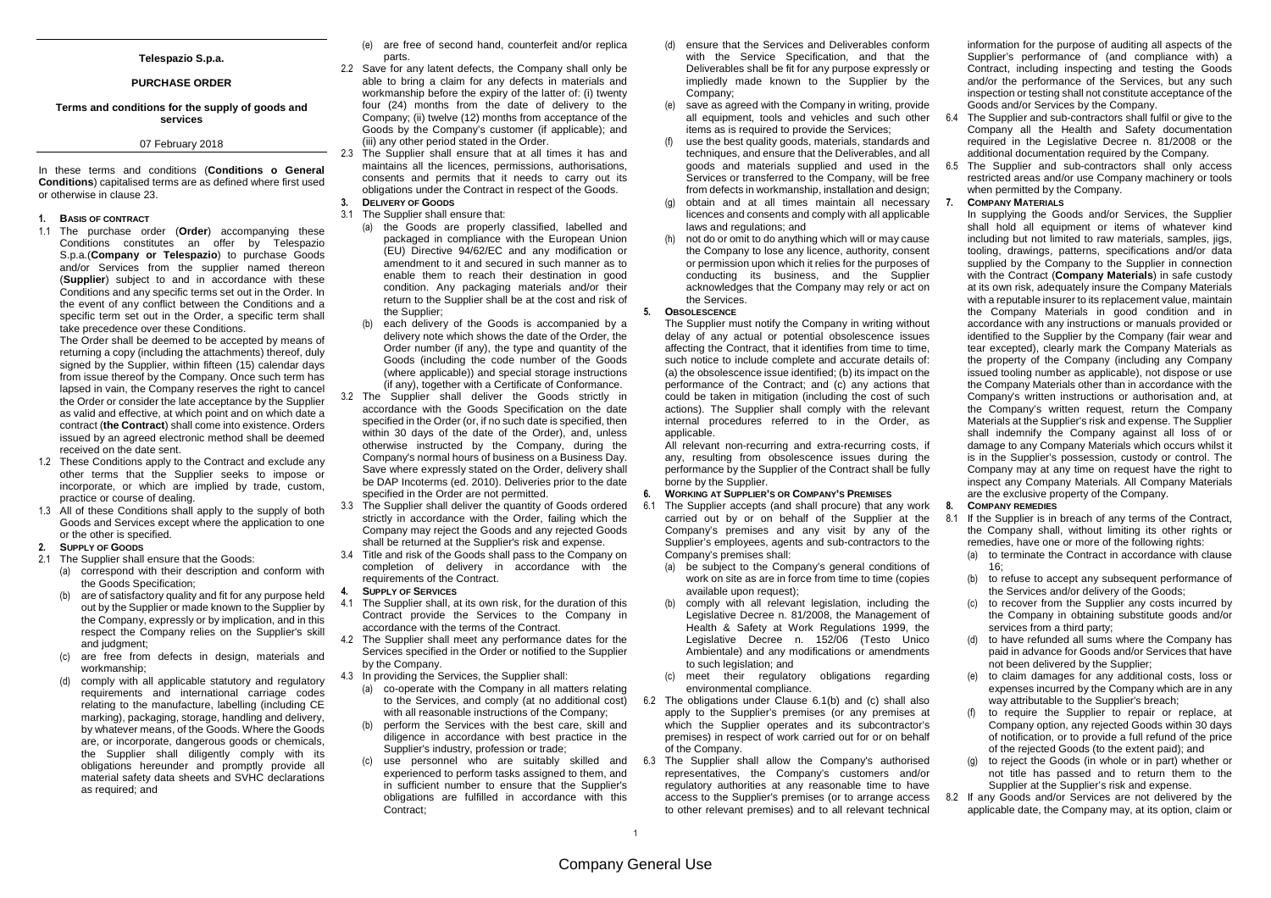## **Telespazio S.p.a.**

## **PURCHASE ORDER**

## **Terms and conditions for the supply of goods and services**

# 07 February 2018

In these terms and conditions (**Conditions o General Conditions**) capitalised terms are as defined where first usedor otherwise in clause 23.

#### **1. BASIS OF CONTRACT**

 1.1 The purchase order (**Order**) accompanying these Conditions constitutes an offer by Telespazio S.p.a.(**Company or Telespazio**) to purchase Goods and/or Services from the supplier named thereon (**Supplier**) subject to and in accordance with these Conditions and any specific terms set out in the Order. In the event of any conflict between the Conditions and a specific term set out in the Order, a specific term shall take precedence over these Conditions.

 The Order shall be deemed to be accepted by means of returning a copy (including the attachments) thereof, duly signed by the Supplier, within fifteen (15) calendar days from issue thereof by the Company. Once such term has lapsed in vain, the Company reserves the right to cancel the Order or consider the late acceptance by the Supplier as valid and effective, at which point and on which date a contract (**the Contract**) shall come into existence. Orders issued by an agreed electronic method shall be deemed received on the date sent.

- 1.2 These Conditions apply to the Contract and exclude any other terms that the Supplier seeks to impose or incorporate, or which are implied by trade, custom,practice or course of dealing.
- 1.3 All of these Conditions shall apply to the supply of both Goods and Services except where the application to one or the other is specified.
- **2. SUPPLY OF GOODS**
- 2.1 The Supplier shall ensure that the Goods:
	- (a) correspond with their description and conform withthe Goods Specification;
	- (b) are of satisfactory quality and fit for any purpose held out by the Supplier or made known to the Supplier by the Company, expressly or by implication, and in this respect the Company relies on the Supplier's skill and judgment;
	- (c) are free from defects in design, materials and workmanship;
	- (d) comply with all applicable statutory and regulatory requirements and international carriage codes relating to the manufacture, labelling (including CE marking), packaging, storage, handling and delivery, by whatever means, of the Goods. Where the Goods are, or incorporate, dangerous goods or chemicals, the Supplier shall diligently comply with its obligations hereunder and promptly provide all material safety data sheets and SVHC declarations as required; and
- (e) are free of second hand, counterfeit and/or replica parts.
- 2.2 Save for any latent defects, the Company shall only be able to bring a claim for any defects in materials and workmanship before the expiry of the latter of: (i) twenty four (24) months from the date of delivery to the Company; (ii) twelve (12) months from acceptance of the Goods by the Company's customer (if applicable); and (iii) any other period stated in the Order.
- 2.3 The Supplier shall ensure that at all times it has and maintains all the licences, permissions, authorisations, consents and permits that it needs to carry out its obligations under the Contract in respect of the Goods. **3. DELIVERY OF GOODS**
- 3.1 The Supplier shall ensure that:
	- (a) the Goods are properly classified, labelled and packaged in compliance with the European Union (EU) Directive 94/62/EC and any modification or amendment to it and secured in such manner as to enable them to reach their destination in good condition. Any packaging materials and/or their return to the Supplier shall be at the cost and risk of the Supplier;
	- (b) each delivery of the Goods is accompanied by a delivery note which shows the date of the Order, the Order number (if any), the type and quantity of the Goods (including the code number of the Goods (where applicable)) and special storage instructions (if any), together with a Certificate of Conformance.
- 3.2 The Supplier shall deliver the Goods strictly in accordance with the Goods Specification on the date specified in the Order (or, if no such date is specified, then within 30 days of the date of the Order), and, unless otherwise instructed by the Company, during the Company's normal hours of business on a Business Day. Save where expressly stated on the Order, delivery shall be DAP Incoterms (ed. 2010). Deliveries prior to the date specified in the Order are not permitted.
- 3.3 The Supplier shall deliver the quantity of Goods ordered strictly in accordance with the Order, failing which the Company may reject the Goods and any rejected Goodsshall be returned at the Supplier's risk and expense.
- 3.4 Title and risk of the Goods shall pass to the Company on completion of delivery in accordance with the requirements of the Contract.
- **4. SUPPLY OF SERVICES**
- 4.1 The Supplier shall, at its own risk, for the duration of this Contract provide the Services to the Company in accordance with the terms of the Contract.
- 4.2 The Supplier shall meet any performance dates for the Services specified in the Order or notified to the Supplier by the Company.
- 4.3 In providing the Services, the Supplier shall:
	- (a) co-operate with the Company in all matters relating to the Services, and comply (at no additional cost)with all reasonable instructions of the Company:
	- (b) perform the Services with the best care, skill and diligence in accordance with best practice in the Supplier's industry, profession or trade;
	- (c) use personnel who are suitably skilled and experienced to perform tasks assigned to them, and in sufficient number to ensure that the Supplier's obligations are fulfilled in accordance with this Contract;
- (d) ensure that the Services and Deliverables conform with the Service Specification, and that the Deliverables shall be fit for any purpose expressly or impliedly made known to the Supplier by the Company;
- (e) save as agreed with the Company in writing, provide all equipment, tools and vehicles and such other items as is required to provide the Services;
- (f) use the best quality goods, materials, standards and techniques, and ensure that the Deliverables, and all goods and materials supplied and used in the Services or transferred to the Company, will be free from defects in workmanship, installation and design;
- (g) obtain and at all times maintain all necessary licences and consents and comply with all applicable laws and regulations; and
- (h) not do or omit to do anything which will or may cause the Company to lose any licence, authority, consent or permission upon which it relies for the purposes of conducting its business, and the Supplier acknowledges that the Company may rely or act on the Services.

#### **5. OBSOLESCENCE**

 The Supplier must notify the Company in writing without delay of any actual or potential obsolescence issues affecting the Contract, that it identifies from time to time, such notice to include complete and accurate details of: (a) the obsolescence issue identified; (b) its impact on the performance of the Contract; and (c) any actions that could be taken in mitigation (including the cost of such actions). The Supplier shall comply with the relevant internal procedures referred to in the Order, as applicable.

 All relevant non-recurring and extra-recurring costs, if any, resulting from obsolescence issues during the performance by the Supplier of the Contract shall be fully borne by the Supplier.

## **6. WORKING AT SUPPLIER'S OR COMPANY'S PREMISES**

- 6.1 The Supplier accepts (and shall procure) that any work carried out by or on behalf of the Supplier at the Company's premises and any visit by any of the Supplier's employees, agents and sub-contractors to the Company's premises shall:
	- (a) be subject to the Company's general conditions of work on site as are in force from time to time (copies available upon request);
	- (b) comply with all relevant legislation, including the Legislative Decree n. 81/2008, the Management of Health & Safety at Work Regulations 1999, the Legislative Decree n. 152/06 (Testo Unico Ambientale) and any modifications or amendments to such legislation; and
	- (c) meet their regulatory obligations regarding environmental compliance.
- 6.2 The obligations under Clause 6.1(b) and (c) shall also apply to the Supplier's premises (or any premises at which the Supplier operates and its subcontractor's premises) in respect of work carried out for or on behalf of the Company.
- 6.3 The Supplier shall allow the Company's authorised representatives, the Company's customers and/or regulatory authorities at any reasonable time to have access to the Supplier's premises (or to arrange access to other relevant premises) and to all relevant technical

information for the purpose of auditing all aspects of the Supplier's performance of (and compliance with) a Contract, including inspecting and testing the Goods and/or the performance of the Services, but any such inspection or testing shall not constitute acceptance of the Goods and/or Services by the Company.

- 6.4 The Supplier and sub-contractors shall fulfil or give to the Company all the Health and Safety documentation required in the Legislative Decree n. 81/2008 or the additional documentation required by the Company.
- 6.5 The Supplier and sub-contractors shall only access restricted areas and/or use Company machinery or tools when permitted by the Company.

#### **7. COMPANY MATERIALS**

 In supplying the Goods and/or Services, the Supplier shall hold all equipment or items of whatever kind including but not limited to raw materials, samples, jigs, tooling, drawings, patterns, specifications and/or data supplied by the Company to the Supplier in connection with the Contract (**Company Materials**) in safe custody at its own risk, adequately insure the Company Materials with a reputable insurer to its replacement value, maintain the Company Materials in good condition and in accordance with any instructions or manuals provided or identified to the Supplier by the Company (fair wear and tear excepted), clearly mark the Company Materials as the property of the Company (including any Company issued tooling number as applicable), not dispose or use the Company Materials other than in accordance with the Company's written instructions or authorisation and, at the Company's written request, return the Company Materials at the Supplier's risk and expense. The Supplier shall indemnify the Company against all loss of or damage to any Company Materials which occurs whilst it is in the Supplier's possession, custody or control. The Company may at any time on request have the right to inspect any Company Materials. All Company Materials are the exclusive property of the Company.

## **8. COMPANY REMEDIES**

 8.1 If the Supplier is in breach of any terms of the Contract, the Company shall, without limiting its other rights or remedies, have one or more of the following rights:

- (a) to terminate the Contract in accordance with clause  $16$
- (b) to refuse to accept any subsequent performance of the Services and/or delivery of the Goods;
- (c) to recover from the Supplier any costs incurred by the Company in obtaining substitute goods and/or services from a third party;
- (d) to have refunded all sums where the Company has paid in advance for Goods and/or Services that havenot been delivered by the Supplier;
- (e) to claim damages for any additional costs, loss or expenses incurred by the Company which are in any way attributable to the Supplier's breach;
- (f) to require the Supplier to repair or replace, at Company option, any rejected Goods within 30 days of notification, or to provide a full refund of the price of the rejected Goods (to the extent paid); and
- (g) to reject the Goods (in whole or in part) whether or not title has passed and to return them to the Supplier at the Supplier's risk and expense.
- 8.2 If any Goods and/or Services are not delivered by the applicable date, the Company may, at its option, claim or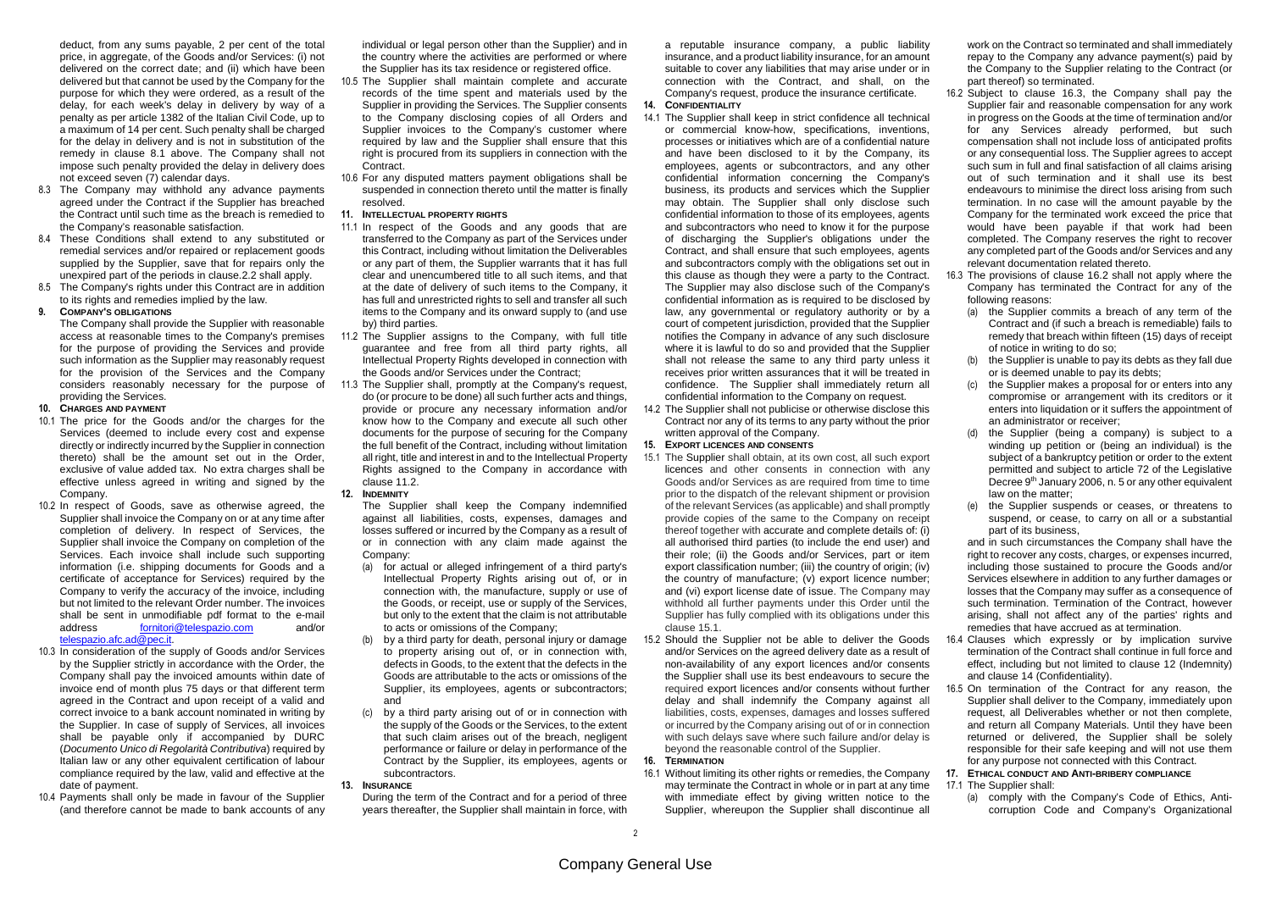deduct, from any sums payable, 2 per cent of the total price, in aggregate, of the Goods and/or Services: (i) not delivered on the correct date; and (ii) which have been delivered but that cannot be used by the Company for the purpose for which they were ordered, as a result of the delay, for each week's delay in delivery by way of a penalty as per article 1382 of the Italian Civil Code, up to a maximum of 14 per cent. Such penalty shall be charged for the delay in delivery and is not in substitution of the remedy in clause 8.1 above. The Company shall not impose such penalty provided the delay in delivery does not exceed seven (7) calendar days.

- 8.3 The Company may withhold any advance payments agreed under the Contract if the Supplier has breached the Contract until such time as the breach is remedied to the Company's reasonable satisfaction.
- 8.4 These Conditions shall extend to any substituted or remedial services and/or repaired or replacement goods supplied by the Supplier, save that for repairs only the unexpired part of the periods in clause.2.2 shall apply.
- 8.5 The Company's rights under this Contract are in addition to its rights and remedies implied by the law.

## **9. COMPANY'S OBLIGATIONS**

 The Company shall provide the Supplier with reasonable access at reasonable times to the Company's premises for the purpose of providing the Services and provide such information as the Supplier may reasonably request for the provision of the Services and the Company considers reasonably necessary for the purpose of providing the Services.

#### **10. CHARGES AND PAYMENT**

- 10.1 The price for the Goods and/or the charges for the Services (deemed to include every cost and expense directly or indirectly incurred by the Supplier in connection thereto) shall be the amount set out in the Order, exclusive of value added tax. No extra charges shall be effective unless agreed in writing and signed by the Company.
- 10.2 In respect of Goods, save as otherwise agreed, the Supplier shall invoice the Company on or at any time after completion of delivery. In respect of Services, the Supplier shall invoice the Company on completion of the Services. Each invoice shall include such supporting information (i.e. shipping documents for Goods and a certificate of acceptance for Services) required by the Company to verify the accuracy of the invoice, including but not limited to the relevant Order number. The invoices shall be sent in unmodifiable pdf format to the e-mail  $and/or$ address fornitori@telespazio.com telespazio.afc.ad@pec.it.
- 10.3 In consideration of the supply of Goods and/or Services by the Supplier strictly in accordance with the Order, the Company shall pay the invoiced amounts within date of invoice end of month plus 75 days or that different term agreed in the Contract and upon receipt of a valid and correct invoice to a bank account nominated in writing by the Supplier. In case of supply of Services, all invoices shall be payable only if accompanied by DURC (Documento Unico di Regolarità Contributiva) required by Italian law or any other equivalent certification of labour compliance required by the law, valid and effective at the date of payment.
- 10.4 Payments shall only be made in favour of the Supplier (and therefore cannot be made to bank accounts of any

individual or legal person other than the Supplier) and in the country where the activities are performed or where the Supplier has its tax residence or registered office.

- 10.5 The Supplier shall maintain complete and accurate records of the time spent and materials used by the Supplier in providing the Services. The Supplier consents to the Company disclosing copies of all Orders and Supplier invoices to the Company's customer where required by law and the Supplier shall ensure that this right is procured from its suppliers in connection with the Contract.
- 10.6 For any disputed matters payment obligations shall be suspended in connection thereto until the matter is finally resolved.
- **11. INTELLECTUAL PROPERTY RIGHTS**
- 11.1 In respect of the Goods and any goods that are transferred to the Company as part of the Services under this Contract, including without limitation the Deliverables or any part of them, the Supplier warrants that it has full clear and unencumbered title to all such items, and that at the date of delivery of such items to the Company, it has full and unrestricted rights to sell and transfer all such items to the Company and its onward supply to (and use by) third parties.
- 11.2 The Supplier assigns to the Company, with full title guarantee and free from all third party rights, all Intellectual Property Rights developed in connection with the Goods and/or Services under the Contract;
- 11.3 The Supplier shall, promptly at the Company's request, do (or procure to be done) all such further acts and things, provide or procure any necessary information and/or know how to the Company and execute all such other documents for the purpose of securing for the Company the full benefit of the Contract, including without limitation all right, title and interest in and to the Intellectual Property Rights assigned to the Company in accordance with clause 11.2.

### **12. INDEMNITY**

 The Supplier shall keep the Company indemnified against all liabilities, costs, expenses, damages and losses suffered or incurred by the Company as a result of or in connection with any claim made against the Company:

- (a) for actual or alleged infringement of a third party's Intellectual Property Rights arising out of, or in connection with, the manufacture, supply or use of the Goods, or receipt, use or supply of the Services, but only to the extent that the claim is not attributable to acts or omissions of the Company;
- (b) by a third party for death, personal injury or damage to property arising out of, or in connection with, defects in Goods, to the extent that the defects in the Goods are attributable to the acts or omissions of the Supplier, its employees, agents or subcontractors; and
- (c) by a third party arising out of or in connection with the supply of the Goods or the Services, to the extent that such claim arises out of the breach, negligent performance or failure or delay in performance of the Contract by the Supplier, its employees, agents or subcontractors.

#### **13. INSURANCE**

 During the term of the Contract and for a period of three years thereafter, the Supplier shall maintain in force, with a reputable insurance company, a public liability insurance, and a product liability insurance, for an amount suitable to cover any liabilities that may arise under or in connection with the Contract, and shall, on the Company's request, produce the insurance certificate.

**14. CONFIDENTIALITY**

 14.1 The Supplier shall keep in strict confidence all technical or commercial know-how, specifications, inventions, processes or initiatives which are of a confidential nature and have been disclosed to it by the Company, its employees, agents or subcontractors, and any other confidential information concerning the Company's business, its products and services which the Supplier may obtain. The Supplier shall only disclose such confidential information to those of its employees, agents and subcontractors who need to know it for the purpose of discharging the Supplier's obligations under the Contract, and shall ensure that such employees, agents and subcontractors comply with the obligations set out in this clause as though they were a party to the Contract. The Supplier may also disclose such of the Company's confidential information as is required to be disclosed by law, any governmental or regulatory authority or by a court of competent jurisdiction, provided that the Supplier notifies the Company in advance of any such disclosure where it is lawful to do so and provided that the Supplier shall not release the same to any third party unless it receives prior written assurances that it will be treated in confidence. The Supplier shall immediately return all confidential information to the Company on request.

 14.2 The Supplier shall not publicise or otherwise disclose this Contract nor any of its terms to any party without the prior written approval of the Company.

## **15. EXPORT LICENCES AND CONSENTS**

- 15.1 The Supplier shall obtain, at its own cost, all such export licences and other consents in connection with any Goods and/or Services as are required from time to time prior to the dispatch of the relevant shipment or provision of the relevant Services (as applicable) and shall promptly provide copies of the same to the Company on receipt thereof together with accurate and complete details of: (i) all authorised third parties (to include the end user) and their role; (ii) the Goods and/or Services, part or item export classification number; (iii) the country of origin; (iv) the country of manufacture; (v) export licence number; and (vi) export license date of issue. The Company may withhold all further payments under this Order until the Supplier has fully complied with its obligations under this clause 15.1.
- 15.2 Should the Supplier not be able to deliver the Goods and/or Services on the agreed delivery date as a result of non-availability of any export licences and/or consents the Supplier shall use its best endeavours to secure the required export licences and/or consents without further delay and shall indemnify the Company against all liabilities, costs, expenses, damages and losses suffered or incurred by the Company arising out of or in connection with such delays save where such failure and/or delay is beyond the reasonable control of the Supplier.

# **16. TERMINATION**

 16.1 Without limiting its other rights or remedies, the Company may terminate the Contract in whole or in part at any time with immediate effect by giving written notice to the Supplier, whereupon the Supplier shall discontinue all work on the Contract so terminated and shall immediately repay to the Company any advance payment(s) paid by the Company to the Supplier relating to the Contract (or part thereof) so terminated.

- 16.2 Subject to clause 16.3, the Company shall pay the Supplier fair and reasonable compensation for any work in progress on the Goods at the time of termination and/or for any Services already performed, but such compensation shall not include loss of anticipated profits or any consequential loss. The Supplier agrees to accept such sum in full and final satisfaction of all claims arising out of such termination and it shall use its best endeavours to minimise the direct loss arising from such termination. In no case will the amount payable by the Company for the terminated work exceed the price that would have been payable if that work had been completed. The Company reserves the right to recover any completed part of the Goods and/or Services and any relevant documentation related thereto.
- 16.3 The provisions of clause 16.2 shall not apply where the Company has terminated the Contract for any of the following reasons:
	- (a) the Supplier commits a breach of any term of the Contract and (if such a breach is remediable) fails to remedy that breach within fifteen (15) days of receipt of notice in writing to do so;
	- (b) the Supplier is unable to pay its debts as they fall due or is deemed unable to pay its debts;
	- (c) the Supplier makes a proposal for or enters into any compromise or arrangement with its creditors or it enters into liquidation or it suffers the appointment of an administrator or receiver;
	- (d) the Supplier (being a company) is subject to a winding up petition or (being an individual) is the subject of a bankruptcy petition or order to the extent permitted and subject to article 72 of the Legislative Decree 9<sup>th</sup> January 2006, n. 5 or any other equivalent law on the matter;
	- (e) the Supplier suspends or ceases, or threatens to suspend, or cease, to carry on all or a substantialpart of its business,

 and in such circumstances the Company shall have the right to recover any costs, charges, or expenses incurred, including those sustained to procure the Goods and/or Services elsewhere in addition to any further damages or losses that the Company may suffer as a consequence of such termination. Termination of the Contract, however arising, shall not affect any of the parties' rights and remedies that have accrued as at termination.

- 16.4 Clauses which expressly or by implication survive termination of the Contract shall continue in full force and effect, including but not limited to clause 12 (Indemnity) and clause 14 (Confidentiality).
- 16.5 On termination of the Contract for any reason, the Supplier shall deliver to the Company, immediately upon request, all Deliverables whether or not then complete, and return all Company Materials. Until they have been returned or delivered, the Supplier shall be solely responsible for their safe keeping and will not use them for any purpose not connected with this Contract.
- **17. ETHICAL CONDUCT AND ANTI-BRIBERY COMPLIANCE**17.1 The Supplier shall:
	- (a) comply with the Company's Code of Ethics, Anticorruption Code and Company's Organizational